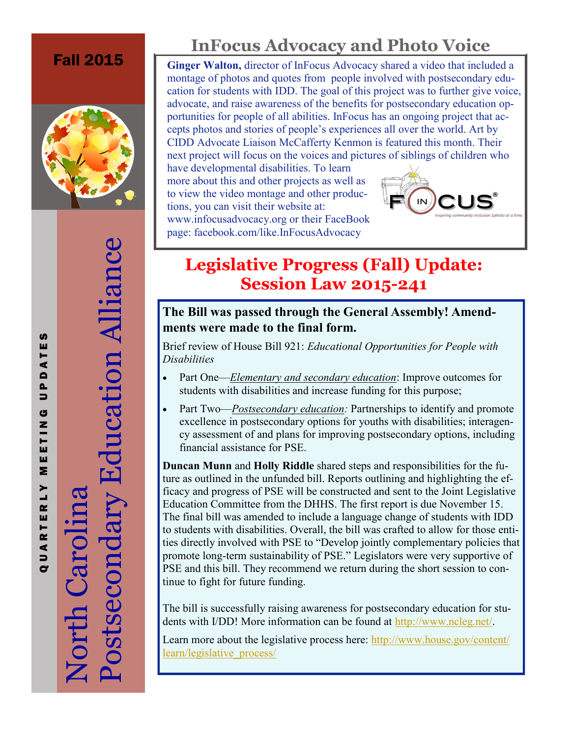

 $\mathbf{L}$  $\alpha$ 

QUARTE

**S** ш ⋖  $\blacksquare$  $\mathbf{r}$  $\Rightarrow$ G Z  $\overline{r}$ ш ш Σ Postsecondary Education Alliance

Postsecondary Education Alliance

## **InFocus Advocacy and Photo Voice**

**Fall 2015 Ginger Walton, director of InFocus Advocacy shared a video that included a** montage of photos and quotes from people involved with postsecondary education for students with IDD. The goal of this project was to further give voice, advocate, and raise awareness of the benefits for postsecondary education opportunities for people of all abilities. InFocus has an ongoing project that accepts photos and stories of people's experiences all over the world. Art by CIDD Advocate Liaison McCafferty Kenmon is featured this month. Their next project will focus on the voices and pictures of siblings of children who

have developmental disabilities. To learn more about this and other projects as well as to view the video montage and other productions, you can visit their website at: www.infocusadvocacy.org or their FaceBook

page: facebook.com/like.InFocusAdvocacy



### **Legislative Progress (Fall) Update: Session Law 2015-241**

### **The Bill was passed through the General Assembly! Amendments were made to the final form.**

Brief review of House Bill 921: *Educational Opportunities for People with Disabilities*

- Part One—*Elementary and secondary education*: Improve outcomes for students with disabilities and increase funding for this purpose;
- Part Two—*Postsecondary education:* Partnerships to identify and promote excellence in postsecondary options for youths with disabilities; interagency assessment of and plans for improving postsecondary options, including financial assistance for PSE.

**Duncan Munn** and **Holly Riddle** shared steps and responsibilities for the future as outlined in the unfunded bill. Reports outlining and highlighting the efficacy and progress of PSE will be constructed and sent to the Joint Legislative Education Committee from the DHHS. The first report is due November 15. The final bill was amended to include a language change of students with IDD to students with disabilities. Overall, the bill was crafted to allow for those entities directly involved with PSE to "Develop jointly complementary policies that promote long-term sustainability of PSE." Legislators were very supportive of PSE and this bill. They recommend we return during the short session to continue to fight for future funding.

The bill is successfully raising awareness for postsecondary education for students with I/DD! More information can be found at [http://www.ncleg.net/.](http://www.ncleg.net/)

Learn more about the legislative process here: [http://www.house.gov/content/](http://www.house.gov/content/learn/legislative_process/) [learn/legislative\\_process/](http://www.house.gov/content/learn/legislative_process/)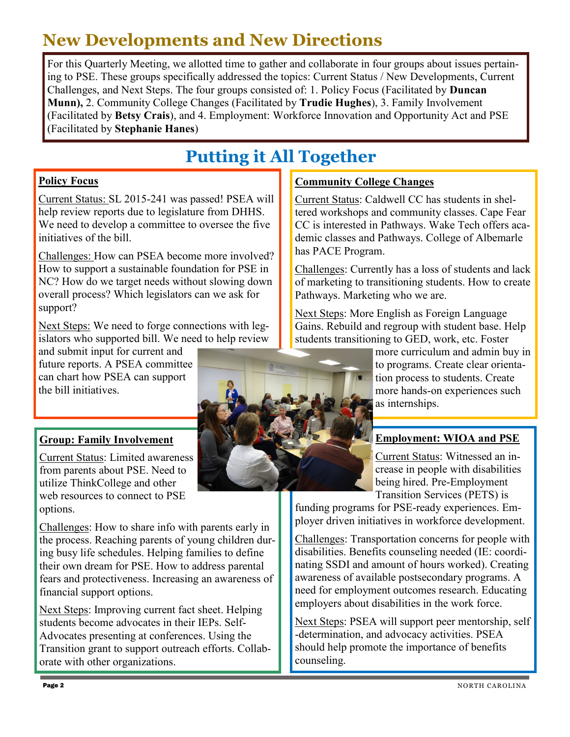### **New Developments and New Directions**

For this Quarterly Meeting, we allotted time to gather and collaborate in four groups about issues pertaining to PSE. These groups specifically addressed the topics: Current Status / New Developments, Current Challenges, and Next Steps. The four groups consisted of: 1. Policy Focus (Facilitated by **Duncan Munn),** 2. Community College Changes (Facilitated by **Trudie Hughes**), 3. Family Involvement (Facilitated by **Betsy Crais**), and 4. Employment: Workforce Innovation and Opportunity Act and PSE (Facilitated by **Stephanie Hanes**)

## **Putting it All Together**

#### **Policy Focus**

Current Status: SL 2015-241 was passed! PSEA will help review reports due to legislature from DHHS. We need to develop a committee to oversee the five initiatives of the bill.

Challenges: How can PSEA become more involved? How to support a sustainable foundation for PSE in NC? How do we target needs without slowing down overall process? Which legislators can we ask for support?

Next Steps: We need to forge connections with legislators who supported bill. We need to help review

and submit input for current and future reports. A PSEA committee can chart how PSEA can support the bill initiatives.

#### **Group: Family Involvement**

Current Status: Limited awareness from parents about PSE. Need to utilize ThinkCollege and other web resources to connect to PSE options.

Challenges: How to share info with parents early in the process. Reaching parents of young children during busy life schedules. Helping families to define their own dream for PSE. How to address parental fears and protectiveness. Increasing an awareness of financial support options.

Next Steps: Improving current fact sheet. Helping students become advocates in their IEPs. Self-Advocates presenting at conferences. Using the Transition grant to support outreach efforts. Collaborate with other organizations.

#### **Community College Changes**

Current Status: Caldwell CC has students in sheltered workshops and community classes. Cape Fear CC is interested in Pathways. Wake Tech offers academic classes and Pathways. College of Albemarle has PACE Program.

Challenges: Currently has a loss of students and lack of marketing to transitioning students. How to create Pathways. Marketing who we are.

Next Steps: More English as Foreign Language Gains. Rebuild and regroup with student base. Help students transitioning to GED, work, etc. Foster

> more curriculum and admin buy in to programs. Create clear orientation process to students. Create more hands-on experiences such as internships.

#### **Employment: WIOA and PSE**

Current Status: Witnessed an increase in people with disabilities being hired. Pre-Employment Transition Services (PETS) is

funding programs for PSE-ready experiences. Employer driven initiatives in workforce development.

Challenges: Transportation concerns for people with disabilities. Benefits counseling needed (IE: coordinating SSDI and amount of hours worked). Creating awareness of available postsecondary programs. A need for employment outcomes research. Educating employers about disabilities in the work force.

Next Steps: PSEA will support peer mentorship, self -determination, and advocacy activities. PSEA should help promote the importance of benefits counseling.

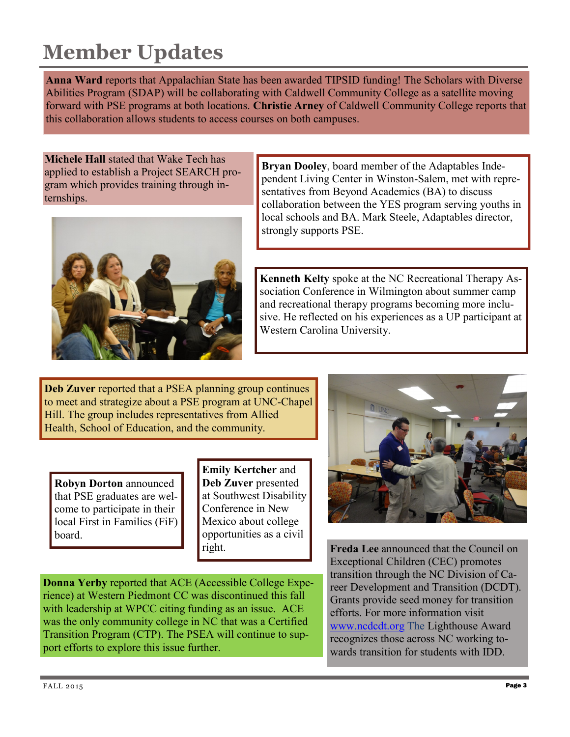# **Member Updates**

**Anna Ward** reports that Appalachian State has been awarded TIPSID funding! The Scholars with Diverse Abilities Program (SDAP) will be collaborating with Caldwell Community College as a satellite moving forward with PSE programs at both locations. **Christie Arney** of Caldwell Community College reports that this collaboration allows students to access courses on both campuses.

**Michele Hall** stated that Wake Tech has applied to establish a Project SEARCH program which provides training through internships.



**Bryan Dooley**, board member of the Adaptables Independent Living Center in Winston-Salem, met with representatives from Beyond Academics (BA) to discuss collaboration between the YES program serving youths in local schools and BA. Mark Steele, Adaptables director, strongly supports PSE.

**Kenneth Kelty** spoke at the NC Recreational Therapy Association Conference in Wilmington about summer camp and recreational therapy programs becoming more inclusive. He reflected on his experiences as a UP participant at Western Carolina University.

**Deb Zuver** reported that a PSEA planning group continues to meet and strategize about a PSE program at UNC-Chapel Hill. The group includes representatives from Allied Health, School of Education, and the community.

**Robyn Dorton** announced that PSE graduates are welcome to participate in their local First in Families (FiF) board.

**Emily Kertcher** and **Deb Zuver** presented at Southwest Disability Conference in New Mexico about college opportunities as a civil right.

**Freda Lee** announced that the Council on Exceptional Children (CEC) promotes transition through the NC Division of Career Development and Transition (DCDT). Grants provide seed money for transition efforts. For more information visit [www.ncdcdt.org](http://www.ncdcdt.org/) The Lighthouse Award recognizes those across NC working towards transition for students with IDD.

**Donna Yerby** reported that ACE (Accessible College Experience) at Western Piedmont CC was discontinued this fall with leadership at WPCC citing funding as an issue. ACE was the only community college in NC that was a Certified Transition Program (CTP). The PSEA will continue to support efforts to explore this issue further.